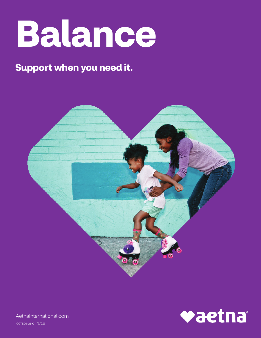

# **Support when you need it.**





[AetnaInternational.com](https://www.aetna.com/index.html)

1007501-01-01 (3/22)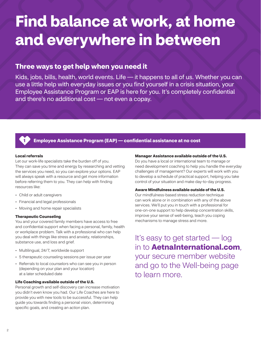# **Find balance at work, at home and everywhere in between**

## **Three ways to get help when you need it**

Kids, jobs, bills, health, world events. Life — it happens to all of us. Whether you can use a little help with everyday issues or you find yourself in a crisis situation, your Employee Assistance Program or EAP is here for you. It's completely confidential and there's no additional cost — not even a copay.



### **1 Employee Assistance Program (EAP) — confidential assistance at no cost**

#### **Local referrals**

Let our work-life specialists take the burden off of you. They can save you time and energy by researching and vetting the services you need, so you can explore your options. EAP will always speak with a resource and get more information before referring them to you. They can help with finding resources like:

- Child or adult caregivers
- Financial and legal professionals
- Moving and home repair specialists

#### **Therapeutic Counseling**

You and your covered family members have access to free and confidential support when facing a personal, family, health or workplace problem. Talk with a professional who can help you deal with things like stress and anxiety, relationships, substance use, and loss and grief.

- Multilingual, 24/7, worldwide support
- 5 therapeutic counseling sessions per issue per year
- Referrals to local counselors who can see you in person (depending on your plan and your location) at a later scheduled date

#### **Life Coaching available outside of the U.S.**

Personal growth and self-discovery can increase motivation you didn't even know you had. Our Life Coaches are here to provide you with new tools to be successful. They can help guide you towards finding a personal vision, determining specific goals, and creating an action plan.

#### **Manager Assistance available outside of the U.S.**

Do you have a local or international team to manage or need development coaching to help you handle the everyday challenges of management? Our experts will work with you to develop a schedule of practical support, helping you take control of your situation and make day-to-day progress.

#### **Aware Mindfulness available outside of the U.S.**

Our mindfulness-based stress reduction technique can work alone or in combination with any of the above services. We'll put you in touch with a professional for one-on-one support to help develop concentration skills, improve your sense of well-being, teach you coping mechanisms to manage stress and more.

It's easy to get started — log in to **[AetnaInternational.com](https://www.aetnainternational.com/)**, your secure member website and go to the Well-being page to learn more.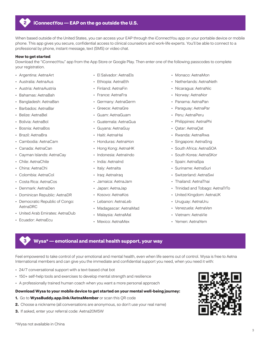

#### **2 iConnectYou — EAP on the go outside the U.S.**

When based outside of the United States, you can access your EAP through the iConnectYou app on your portable device or mobile phone. This app gives you secure, confidential access to clinical counselors and work-life experts. You'll be able to connect to a professional by phone, instant message, text (SMS) or video chat.

#### **How to get started**

Download the "iConnectYou" app from the App Store or Google Play. Then enter one of the following passcodes to complete your registration.

- • Argentina: AetnaArt
- • Australia: AetnaAus
- • Austria: AetnaAustria
- • Bahamas: AetnaBah
- • Bangladesh: AetnaBan
- • Barbados: AetnaBar
- • Belize: AetnaBel
- Bolivia: AetnaBol
- • Bosnia: AetnaBos
- • Brazil: AetnaBra
- • Cambodia: AetnaCam
- • Canada: AetnaCan
- • Cayman Islands: AetnaCay
- • Chile: AetnaChile
- • China: AetnaChi
- • Colombia: AetnaCol
- • Costa Rica: AetnaCos
- • Denmark: AetnaDen
- • Dominican Republic: AetnaDR
- Democratic Republic of Congo: AetnaDRC
- • United Arab Emirates: AetnaDub
- • Ecuador: AetnaEcu

- • El Salvador: AetnaEls
- • Ethiopia: AetnaEth
- • Finland: AetnaFin
- • France: AetnaFra
- • Germany: AetnaGerm
- • Greece: AetnaGre
- • Guam: AetnaGuam
- • Guatemala: AetnaGua
- • Guyana: AetnaGuy
- Haiti: AetnaHai
- • Honduras: AetnaHon
- Hong Kong: AetnaHK
- • Indonesia: AetnaIndo
- India: AetnaInd
- Italy: AetnaIta
- Iraq: AetnaIraq
- • Jamaica: AetnaJam
- • Japan: AetnaJap
- • Kosovo: AetnaKos
- • Lebanon: AetnaLeb
- • Madagascar: AetnaMad
- • Malaysia: AetnaMal
- • Mexico: AetnaMex
- • Monaco: AetnaMon
- • Netherlands: AetnaNeth
- • Nicaragua: AetnaNic
- • Norway: AetnaNor
- • Panama: AetnaPan
- • Paraguay: AetnaPar
- • Peru: AetnaPeru
- • Philippines: AetnaPhi
- • Qatar: AetnaQat
- • Rwanda: AetnaRwa
- • Singapore: AetnaSng
- South Africa: AetnaSOA
- • South Korea: AetnaSKor
- • Spain: AetnaSpa
- • Suriname: AetnaSuri
- • Switzerland: AetnaSwi
- Thailand: AetnaThai
- Trinidad and Tobago: AetnaTrTo
- United Kingdom: AetnaUK
- • Uruguay: AetnaUru
- • Venezuela: AetnaVen
- • Vietnam: AetnaVie
- • Yemen: AetnaYem

#### **3 Wysa\* — emotional and mental health support, your way**

Feel empowered to take control of your emotional and mental health, even when life seems out of control. Wysa is free to Aetna International members and can give you the immediate and confidential support you need, when you need it with:

- 24/7 conversational support with a text-based chat bot
- 150+ self-help tools and exercises to develop mental strength and resilience
- A professionally trained human coach when you want a more personal approach

#### **Download Wysa to your mobile device to get started on your mental well-being journey:**

- **1.** Go to **[WysaBuddy.app.link/AetnaMember](https://wysabuddy.app.link/aetnamember)** or scan this QR code
- **2.** Choose a nickname (all conversations are anonymous, so don't use your real name)
- **3.** If asked, enter your referral code: Aetna20M5W